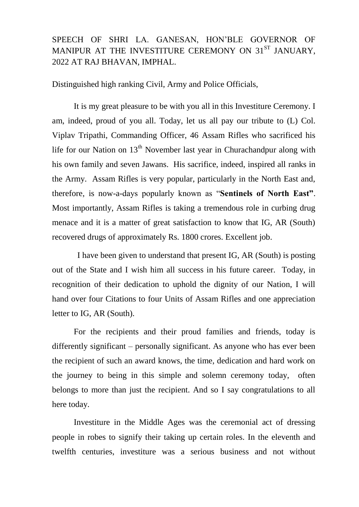## SPEECH OF SHRI LA. GANESAN, HON'BLE GOVERNOR OF MANIPUR AT THE INVESTITURE CEREMONY ON 31<sup>ST</sup> JANUARY. 2022 AT RAJ BHAVAN, IMPHAL.

Distinguished high ranking Civil, Army and Police Officials,

It is my great pleasure to be with you all in this Investiture Ceremony. I am, indeed, proud of you all. Today, let us all pay our tribute to (L) Col. Viplav Tripathi, Commanding Officer, 46 Assam Rifles who sacrificed his life for our Nation on  $13<sup>th</sup>$  November last year in Churachandpur along with his own family and seven Jawans. His sacrifice, indeed, inspired all ranks in the Army. Assam Rifles is very popular, particularly in the North East and, therefore, is now-a-days popularly known as "**Sentinels of North East"**. Most importantly, Assam Rifles is taking a tremendous role in curbing drug menace and it is a matter of great satisfaction to know that IG, AR (South) recovered drugs of approximately Rs. 1800 crores. Excellent job.

 I have been given to understand that present IG, AR (South) is posting out of the State and I wish him all success in his future career. Today, in recognition of their dedication to uphold the dignity of our Nation, I will hand over four Citations to four Units of Assam Rifles and one appreciation letter to IG, AR (South).

For the recipients and their proud families and friends, today is differently significant – personally significant. As anyone who has ever been the recipient of such an award knows, the time, dedication and hard work on the journey to being in this simple and solemn ceremony today, often belongs to more than just the recipient. And so I say congratulations to all here today.

Investiture in the Middle Ages was the ceremonial act of dressing people in robes to signify their taking up certain roles. In the eleventh and twelfth centuries, investiture was a serious business and not without